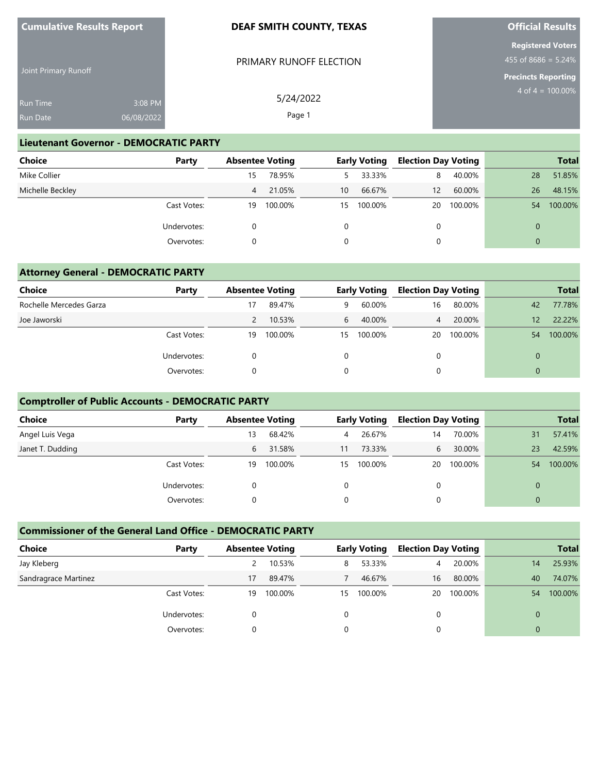| <b>Cumulative Results Report</b> |  |
|----------------------------------|--|
|----------------------------------|--|

Joint Primary Runoff

### **DEAF SMITH COUNTY, TEXAS**

PRIMARY RUNOFF ELECTION

5/24/2022 Page 1

# **Official Results**

**Registered Voters** 455 of 8686 =  $5.24\%$ 

**Precincts Reporting** 4 of  $4 = 100.00\%$ 

Run Time Run Date 3:08 PM 06/08/2022

#### **Lieutenant Governor - DEMOCRATIC PARTY**

| Choice           | Party       | <b>Absentee Voting</b> |         |          | <b>Early Voting</b> | <b>Election Day Voting</b> |         |    | <b>Total</b> |
|------------------|-------------|------------------------|---------|----------|---------------------|----------------------------|---------|----|--------------|
| Mike Collier     |             | 15                     | 78.95%  | 5.       | 33.33%              | 8                          | 40.00%  | 28 | 51.85%       |
| Michelle Beckley |             | 4                      | 21.05%  | 10       | 66.67%              | 12                         | 60.00%  | 26 | 48.15%       |
|                  | Cast Votes: | 19                     | 100.00% | 15       | 100.00%             | 20                         | 100.00% | 54 | 100.00%      |
|                  | Undervotes: |                        |         | $\Omega$ |                     | 0                          |         |    |              |
|                  | Overvotes:  |                        |         | 0        |                     |                            |         |    |              |

#### **Attorney General - DEMOCRATIC PARTY**

| Choice                  | Party       | <b>Absentee Voting</b> |         | <b>Early Voting</b> |         | <b>Election Day Voting</b> |         |                   | <b>Total</b> |
|-------------------------|-------------|------------------------|---------|---------------------|---------|----------------------------|---------|-------------------|--------------|
| Rochelle Mercedes Garza |             | 17                     | 89.47%  | 9                   | 60.00%  | 16                         | 80.00%  | 42                | 77.78%       |
| Joe Jaworski            |             |                        | 10.53%  | 6                   | 40.00%  | 4                          | 20.00%  | $12 \overline{ }$ | 22.22%       |
|                         | Cast Votes: | 19                     | 100.00% | 15                  | 100.00% | 20                         | 100.00% | 54                | 100.00%      |
|                         | Undervotes: |                        |         |                     |         |                            |         | 0                 |              |
|                         | Overvotes:  |                        |         |                     |         |                            |         | 0                 |              |

## **Comptroller of Public Accounts - DEMOCRATIC PARTY**

| <b>Choice</b>    | Party       | <b>Absentee Voting</b> |         |    | <b>Early Voting</b> | <b>Election Day Voting</b> |         |          | <b>Total</b> |
|------------------|-------------|------------------------|---------|----|---------------------|----------------------------|---------|----------|--------------|
| Angel Luis Vega  |             | 13                     | 68.42%  | 4  | 26.67%              | 14                         | 70.00%  | 31       | 57.41%       |
| Janet T. Dudding |             | 6                      | 31.58%  | 11 | 73.33%              | 6                          | 30.00%  | 23       | 42.59%       |
|                  | Cast Votes: | 19                     | 100.00% | 15 | 100.00%             | 20                         | 100.00% | 54       | 100.00%      |
|                  | Undervotes: |                        |         | 0  |                     | 0                          |         | $\Omega$ |              |
|                  | Overvotes:  |                        |         |    |                     |                            |         | $\Omega$ |              |

## **Commissioner of the General Land Office - DEMOCRATIC PARTY**

| Choice               | Party       | <b>Absentee Voting</b> |         |    | <b>Early Voting</b> |    | <b>Election Day Voting</b> |          | <b>Total</b> |
|----------------------|-------------|------------------------|---------|----|---------------------|----|----------------------------|----------|--------------|
| Jay Kleberg          |             |                        | 10.53%  | 8  | 53.33%              | 4  | 20.00%                     | 14       | 25.93%       |
| Sandragrace Martinez |             | 17                     | 89.47%  |    | 46.67%              | 16 | 80.00%                     | 40       | 74.07%       |
|                      | Cast Votes: | 19                     | 100.00% | 15 | 100.00%             | 20 | 100.00%                    | 54       | 100.00%      |
|                      | Undervotes: |                        |         |    |                     |    |                            | $\Omega$ |              |
|                      | Overvotes:  |                        |         |    |                     |    |                            |          |              |